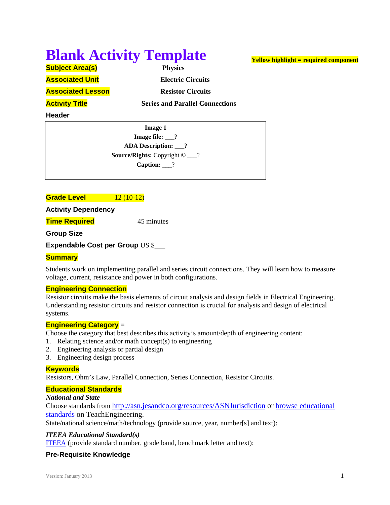# **Blank Activity Template**

**Activity Title** *Series and Parallel Connections* 

**Subject Area(s) Physics** 

**Associated Unit** *Electric Circuits* 

**Associated Lesson Resistor Circuits** 

**Header**

**Image 1 Image file:**  $\qquad$ ? **ADA Description:** \_\_\_? **Source/Rights:** Copyright © \_\_\_? **Caption:** \_\_\_?

**Grade Level 12 (10-12)** 

**Activity Dependency** 

**Time Required** 45 minutes

**Group Size**

**Expendable Cost per Group** US \$\_\_\_

# **Summary**

Students work on implementing parallel and series circuit connections. They will learn how to measure voltage, current, resistance and power in both configurations.

# **Engineering Connection**

Resistor circuits make the basis elements of circuit analysis and design fields in Electrical Engineering. Understanding resistor circuits and resistor connection is crucial for analysis and design of electrical systems.

# **Engineering Category** =

Choose the category that best describes this activity's amount/depth of engineering content:

- 1. Relating science and/or math concept(s) to engineering
- 2. Engineering analysis or partial design
- 3. Engineering design process

# **Keywords**

Resistors, Ohm's Law, Parallel Connection, Series Connection, Resistor Circuits.

# **Educational Standards**

#### *National and State*

Choose standards from http://asn.jesandco.org/resources/ASNJurisdiction or browse educational standards on TeachEngineering.

State/national science/math/technology (provide source, year, number[s] and text):

# *ITEEA Educational Standard(s)*

ITEEA (provide standard number, grade band, benchmark letter and text):

# **Pre-Requisite Knowledge**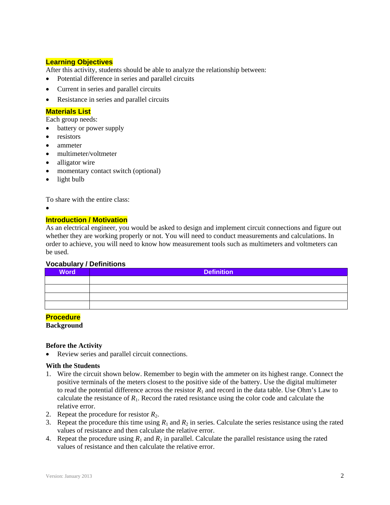# **Learning Objectives**

After this activity, students should be able to analyze the relationship between:

- Potential difference in series and parallel circuits
- Current in series and parallel circuits
- Resistance in series and parallel circuits

## **Materials List**

Each group needs:

- battery or power supply
- resistors
- ammeter
- multimeter/voltmeter
- alligator wire
- momentary contact switch (optional)
- light bulb

To share with the entire class:

 $\bullet$ 

#### **Introduction / Motivation**

As an electrical engineer, you would be asked to design and implement circuit connections and figure out whether they are working properly or not. You will need to conduct measurements and calculations. In order to achieve, you will need to know how measurement tools such as multimeters and voltmeters can be used.

#### **Vocabulary / Definitions**

| <b>Word</b> | <b>Definition</b> |  |  |  |  |
|-------------|-------------------|--|--|--|--|
|             |                   |  |  |  |  |
|             |                   |  |  |  |  |
|             |                   |  |  |  |  |
|             |                   |  |  |  |  |

#### **Procedure**

**Background**

#### **Before the Activity**

Review series and parallel circuit connections.

#### **With the Students**

- 1. Wire the circuit shown below. Remember to begin with the ammeter on its highest range. Connect the positive terminals of the meters closest to the positive side of the battery. Use the digital multimeter to read the potential difference across the resistor  $R_1$  and record in the data table. Use Ohm's Law to calculate the resistance of  $R_1$ . Record the rated resistance using the color code and calculate the relative error.
- 2. Repeat the procedure for resistor  $R_2$ .
- 3. Repeat the procedure this time using  $R_1$  and  $R_2$  in series. Calculate the series resistance using the rated values of resistance and then calculate the relative error.
- 4. Repeat the procedure using  $R_1$  and  $R_2$  in parallel. Calculate the parallel resistance using the rated values of resistance and then calculate the relative error.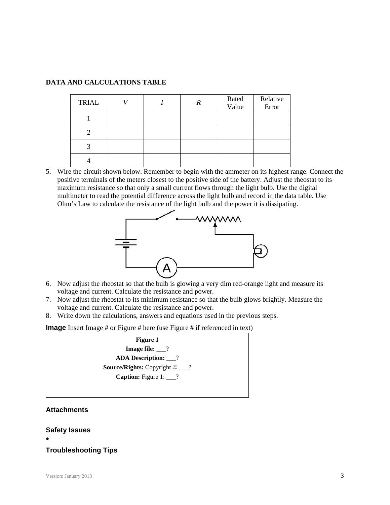# **DATA AND CALCULATIONS TABLE**

| <b>TRIAL</b> |  | R | Rated<br>Value | Relative<br>Error |
|--------------|--|---|----------------|-------------------|
|              |  |   |                |                   |
|              |  |   |                |                   |
|              |  |   |                |                   |
|              |  |   |                |                   |

5. Wire the circuit shown below. Remember to begin with the ammeter on its highest range. Connect the positive terminals of the meters closest to the positive side of the battery. Adjust the rheostat to its maximum resistance so that only a small current flows through the light bulb. Use the digital multimeter to read the potential difference across the light bulb and record in the data table. Use Ohm's Law to calculate the resistance of the light bulb and the power it is dissipating.



- 6. Now adjust the rheostat so that the bulb is glowing a very dim red-orange light and measure its voltage and current. Calculate the resistance and power.
- 7. Now adjust the rheostat to its minimum resistance so that the bulb glows brightly. Measure the voltage and current. Calculate the resistance and power.
- 8. Write down the calculations, answers and equations used in the previous steps.

**Image** Insert Image # or Figure # here (use Figure # if referenced in text)

**Figure 1 Image file:** \_\_\_? **ADA Description:** \_\_\_? **Source/Rights:** Copyright © \_\_\_? **Caption:** Figure 1: ?

# **Attachments**

#### **Safety Issues**

 $\bullet$ 

# **Troubleshooting Tips**